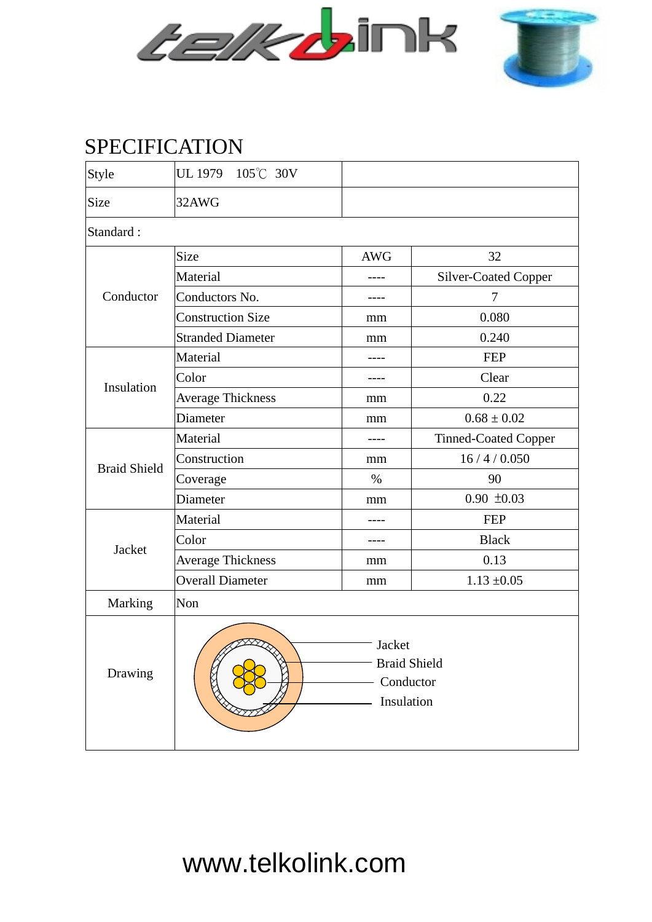



## SPECIFICATION

| <b>Style</b>        | UL 1979 105°C 30V                                        |            |                             |  |  |  |  |  |  |
|---------------------|----------------------------------------------------------|------------|-----------------------------|--|--|--|--|--|--|
| Size                | 32AWG                                                    |            |                             |  |  |  |  |  |  |
| Standard:           |                                                          |            |                             |  |  |  |  |  |  |
| Conductor           | Size                                                     | <b>AWG</b> | 32                          |  |  |  |  |  |  |
|                     | Material                                                 |            | <b>Silver-Coated Copper</b> |  |  |  |  |  |  |
|                     | Conductors No.                                           |            | 7                           |  |  |  |  |  |  |
|                     | <b>Construction Size</b>                                 | mm         | 0.080                       |  |  |  |  |  |  |
|                     | <b>Stranded Diameter</b>                                 | mm         | 0.240                       |  |  |  |  |  |  |
| Insulation          | Material                                                 | ----       | <b>FEP</b>                  |  |  |  |  |  |  |
|                     | Color                                                    |            | Clear                       |  |  |  |  |  |  |
|                     | <b>Average Thickness</b>                                 | mm         | 0.22                        |  |  |  |  |  |  |
|                     | Diameter                                                 | mm         | $0.68 \pm 0.02$             |  |  |  |  |  |  |
| <b>Braid Shield</b> | Material                                                 |            | <b>Tinned-Coated Copper</b> |  |  |  |  |  |  |
|                     | Construction                                             | mm         | 16/4/0.050                  |  |  |  |  |  |  |
|                     | Coverage                                                 | $\%$       | 90                          |  |  |  |  |  |  |
|                     | Diameter                                                 | mm         | $0.90 \pm 0.03$             |  |  |  |  |  |  |
| Jacket              | Material                                                 |            | <b>FEP</b>                  |  |  |  |  |  |  |
|                     | Color                                                    | ----       | <b>Black</b>                |  |  |  |  |  |  |
|                     | <b>Average Thickness</b>                                 | mm         | 0.13                        |  |  |  |  |  |  |
|                     | <b>Overall Diameter</b>                                  | mm         | $1.13 \pm 0.05$             |  |  |  |  |  |  |
| Marking             | Non                                                      |            |                             |  |  |  |  |  |  |
| Drawing             | Jacket<br><b>Braid Shield</b><br>Conductor<br>Insulation |            |                             |  |  |  |  |  |  |

www.telkolink.com